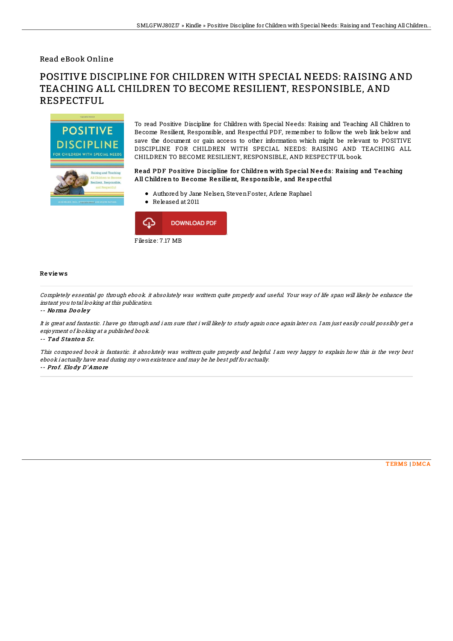### Read eBook Online

# POSITIVE DISCIPLINE FOR CHILDREN WITH SPECIAL NEEDS: RAISING AND TEACHING ALL CHILDREN TO BECOME RESILIENT, RESPONSIBLE, AND RESPECTFUL



To read Positive Discipline for Children with Special Needs: Raising and Teaching All Children to Become Resilient, Responsible, and Respectful PDF, remember to follow the web link below and save the document or gain access to other information which might be relevant to POSITIVE DISCIPLINE FOR CHILDREN WITH SPECIAL NEEDS: RAISING AND TEACHING ALL CHILDREN TO BECOME RESILIENT, RESPONSIBLE, AND RESPECTFUL book.

#### Read PDF Positive Discipline for Children with Special Needs: Raising and Teaching All Childre n to Be come Re silie nt, Re sponsible , and Re spe ctful

- Authored by Jane Nelsen, StevenFoster, Arlene Raphael
- Released at 2011



#### Re vie ws

Completely essential go through ebook. it absolutely was writtern quite properly and useful. Your way of life span will likely be enhance the instant you total looking at this publication.

#### -- No rma Do <sup>o</sup> le y

It is great and fantastic. I have go through and i am sure that i will likely to study again once again later on. I am just easily could possibly get <sup>a</sup> enjoyment of looking at <sup>a</sup> published book.

-- Tad Stanton Sr.

This composed book is fantastic. it absolutely was writtern quite properly and helpful. I am very happy to explain how this is the very best ebook i actually have read during my own existence and may be he best pdf for actually. -- Pro f. Elo dy D'Amo re